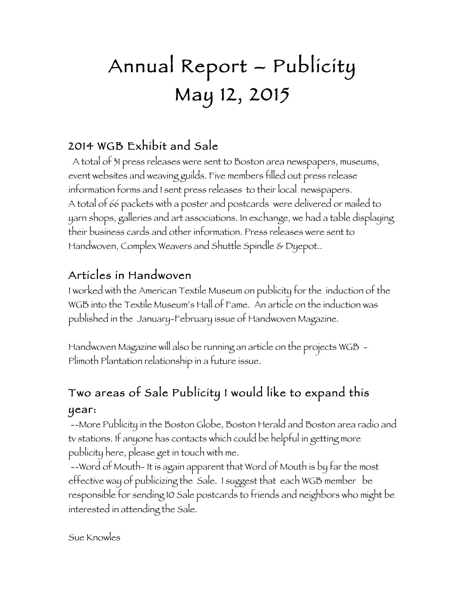# Annual Report – Publicity May 12, 2015

## 2014 WGB Exhibit and Sale

 A total of 31 press releases were sent to Boston area newspapers, museums, event websites and weaving guilds. Five members filled out press release information forms and I sent press releases to their local newspapers. A total of 66 packets with a poster and postcards were delivered or mailed to yarn shops, galleries and art associations. In exchange, we had a table displaying their business cards and other information. Press releases were sent to Handwoven, Complex Weavers and Shuttle Spindle & Dyepot..

## Articles in Handwoven

I worked with the American Textile Museum on publicity for the induction of the WGB into the Textile Museum's Hall of Fame. An article on the induction was published in the January-February issue of Handwoven Magazine.

Handwoven Magazine will also be running an article on the projects WGB - Plimoth Plantation relationship in a future issue.

# Two areas of Sale Publicity I would like to expand this year:

--More Publicity in the Boston Globe, Boston Herald and Boston area radio and tv stations. If anyone has contacts which could be helpful in getting more publicity here, please get in touch with me.

--Word of Mouth- It is again apparent that Word of Mouth is by far the most effective way of publicizing the Sale. I suggest that each WGB member be responsible for sending 10 Sale postcards to friends and neighbors who might be interested in attending the Sale.

Sue Knowles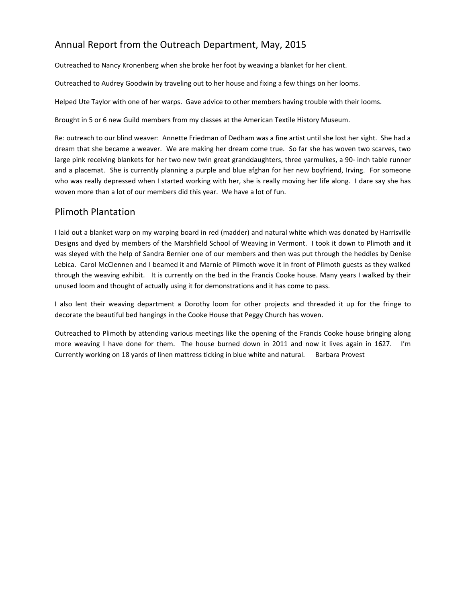### Annual Report from the Outreach Department, May, 2015

Outreached to Nancy Kronenberg when she broke her foot by weaving a blanket for her client.

Outreached to Audrey Goodwin by traveling out to her house and fixing a few things on her looms.

Helped Ute Taylor with one of her warps. Gave advice to other members having trouble with their looms.

Brought in 5 or 6 new Guild members from my classes at the American Textile History Museum.

Re: outreach to our blind weaver: Annette Friedman of Dedham was a fine artist until she lost her sight. She had a dream that she became a weaver. We are making her dream come true. So far she has woven two scarves, two large pink receiving blankets for her two new twin great granddaughters, three yarmulkes, a 90- inch table runner and a placemat. She is currently planning a purple and blue afghan for her new boyfriend, Irving. For someone who was really depressed when I started working with her, she is really moving her life along. I dare say she has woven more than a lot of our members did this year. We have a lot of fun.

#### Plimoth Plantation

I laid out a blanket warp on my warping board in red (madder) and natural white which was donated by Harrisville Designs and dyed by members of the Marshfield School of Weaving in Vermont. I took it down to Plimoth and it was sleyed with the help of Sandra Bernier one of our members and then was put through the heddles by Denise Lebica. Carol McClennen and I beamed it and Marnie of Plimoth wove it in front of Plimoth guests as they walked through the weaving exhibit. It is currently on the bed in the Francis Cooke house. Many years I walked by their unused loom and thought of actually using it for demonstrations and it has come to pass.

I also lent their weaving department a Dorothy loom for other projects and threaded it up for the fringe to decorate the beautiful bed hangings in the Cooke House that Peggy Church has woven.

Outreached to Plimoth by attending various meetings like the opening of the Francis Cooke house bringing along more weaving I have done for them. The house burned down in 2011 and now it lives again in 1627. I'm Currently working on 18 yards of linen mattress ticking in blue white and natural. Barbara Provest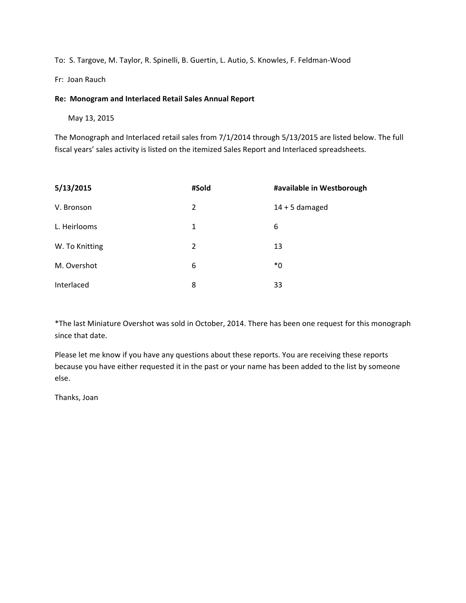To: S. Targove, M. Taylor, R. Spinelli, B. Guertin, L. Autio, S. Knowles, F. Feldman-Wood

Fr: Joan Rauch

#### **Re: Monogram and Interlaced Retail Sales Annual Report**

 May 13, 2015

The Monograph and Interlaced retail sales from 7/1/2014 through 5/13/2015 are listed below. The full fiscal years' sales activity is listed on the itemized Sales Report and Interlaced spreadsheets.

| 5/13/2015      | #Sold | #available in Westborough |
|----------------|-------|---------------------------|
| V. Bronson     | 2     | $14 + 5$ damaged          |
| L. Heirlooms   | 1     | 6                         |
| W. To Knitting | 2     | 13                        |
| M. Overshot    | 6     | *0                        |
| Interlaced     | 8     | 33                        |

\*The last Miniature Overshot was sold in October, 2014. There has been one request for this monograph since that date.

Please let me know if you have any questions about these reports. You are receiving these reports because you have either requested it in the past or your name has been added to the list by someone else.

Thanks, Joan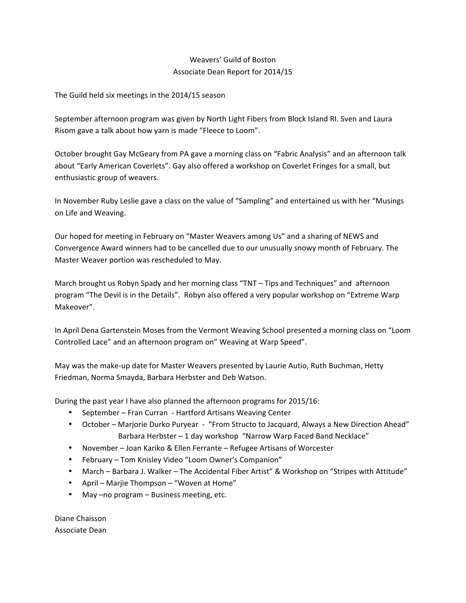#### Weavers' Guild of Boston Associate Dean Report for 2014/15

The Guild held six meetings in the 2014/15 season

September afternoon program was given by North Light Fibers from Block Island RI. Sven and Laura Risom gave a talk about how yarn is made "Fleece to Loom".

October brought Gay McGeary from PA gave a morning class on "Fabric Analysis" and an afternoon talk about "Early American Coverlets". Gay also offered a workshop on Coverlet Fringes for a small, but enthusiastic group of weavers.

In November Ruby Leslie gave a class on the value of "Sampling" and entertained us with her "Musings on Life and Weaving.

Our hoped for meeting in February on "Master Weavers among Us" and a sharing of NEWS and Convergence Award winners had to be cancelled due to our unusually snowy month of February. The Master Weaver portion was rescheduled to May.

March brought us Robyn Spady and her morning class "TNT – Tips and Techniques" and afternoon program "The Devil is in the Details". Robyn also offered a very popular workshop on "Extreme Warp Makeover". 

In April Dena Gartenstein Moses from the Vermont Weaving School presented a morning class on "Loom Controlled Lace" and an afternoon program on" Weaving at Warp Speed".

May was the make-up date for Master Weavers presented by Laurie Autio, Ruth Buchman, Hetty Friedman, Norma Smayda, Barbara Herbster and Deb Watson.

During the past year I have also planned the afternoon programs for 2015/16:

- September Fran Curran Hartford Artisans Weaving Center
- October Marjorie Durko Puryear "From Structo to Jacquard, Always a New Direction Ahead" Barbara Herbster - 1 day workshop "Narrow Warp Faced Band Necklace"
- November Joan Kariko & Ellen Ferrante Refugee Artisans of Worcester
- February Tom Knisley Video "Loom Owner's Companion"
- March Barbara J. Walker The Accidental Fiber Artist" & Workshop on "Stripes with Attitude"
- April Marjie Thompson "Woven at Home"
- May –no program Business meeting, etc.

Diane Chaisson Associate Dean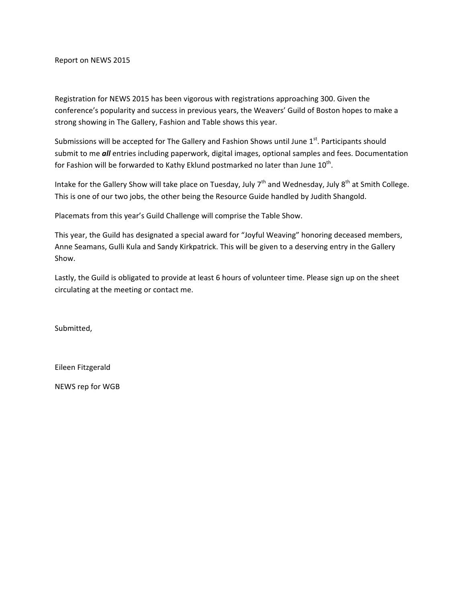Report on NEWS 2015

Registration for NEWS 2015 has been vigorous with registrations approaching 300. Given the conference's popularity and success in previous years, the Weavers' Guild of Boston hopes to make a strong showing in The Gallery, Fashion and Table shows this year.

Submissions will be accepted for The Gallery and Fashion Shows until June  $1^{st}$ . Participants should submit to me *all* entries including paperwork, digital images, optional samples and fees. Documentation for Fashion will be forwarded to Kathy Eklund postmarked no later than June 10<sup>th</sup>.

Intake for the Gallery Show will take place on Tuesday, July  $7<sup>th</sup>$  and Wednesday, July  $8<sup>th</sup>$  at Smith College. This is one of our two jobs, the other being the Resource Guide handled by Judith Shangold.

Placemats from this year's Guild Challenge will comprise the Table Show.

This year, the Guild has designated a special award for "Joyful Weaving" honoring deceased members, Anne Seamans, Gulli Kula and Sandy Kirkpatrick. This will be given to a deserving entry in the Gallery Show.

Lastly, the Guild is obligated to provide at least 6 hours of volunteer time. Please sign up on the sheet circulating at the meeting or contact me.

Submitted,

Eileen Fitzgerald

NEWS rep for WGB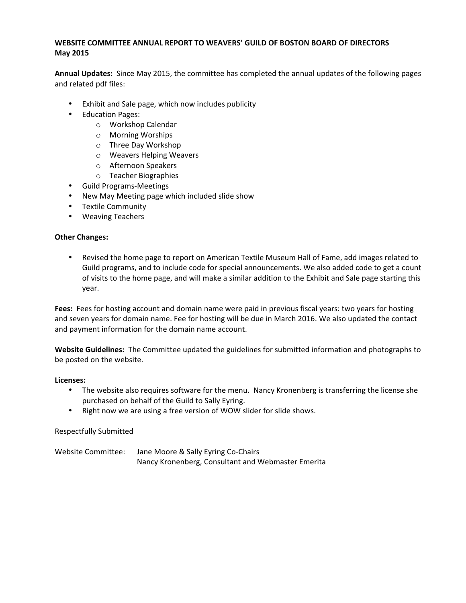#### WEBSITE COMMITTEE ANNUAL REPORT TO WEAVERS' GUILD OF BOSTON BOARD OF DIRECTORS **May 2015**

Annual Updates: Since May 2015, the committee has completed the annual updates of the following pages and related pdf files:

- Exhibit and Sale page, which now includes publicity
- Education Pages:
	- o Workshop Calendar
	- o Morning Worships
	- o Three Day Workshop
	- o Weavers Helping Weavers
	- o Afternoon Speakers
	- o Teacher Biographies
- Guild Programs-Meetings
- New May Meeting page which included slide show
- Textile Community
- Weaving Teachers

#### **Other Changes:**

• Revised the home page to report on American Textile Museum Hall of Fame, add images related to Guild programs, and to include code for special announcements. We also added code to get a count of visits to the home page, and will make a similar addition to the Exhibit and Sale page starting this year.

**Fees:** Fees for hosting account and domain name were paid in previous fiscal years: two years for hosting and seven years for domain name. Fee for hosting will be due in March 2016. We also updated the contact and payment information for the domain name account.

Website Guidelines: The Committee updated the guidelines for submitted information and photographs to be posted on the website.

#### Licenses:

- The website also requires software for the menu. Nancy Kronenberg is transferring the license she purchased on behalf of the Guild to Sally Eyring.
- Right now we are using a free version of WOW slider for slide shows.

#### Respectfully Submitted

Website Committee: Jane Moore & Sally Eyring Co-Chairs Nancy Kronenberg, Consultant and Webmaster Emerita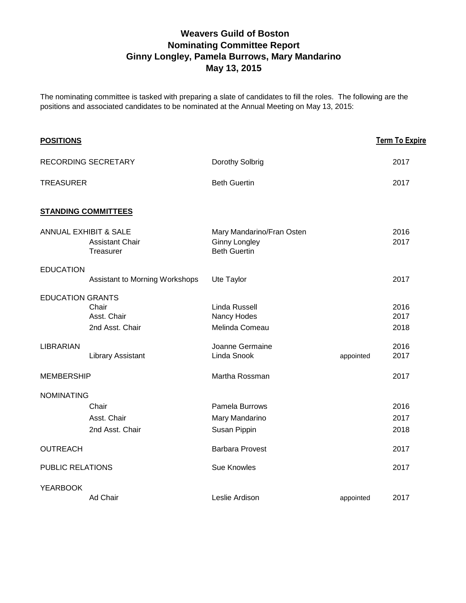### **Weavers Guild of Boston Nominating Committee Report Ginny Longley, Pamela Burrows, Mary Mandarino May 13, 2015**

The nominating committee is tasked with preparing a slate of candidates to fill the roles. The following are the positions and associated candidates to be nominated at the Annual Meeting on May 13, 2015:

| <b>POSITIONS</b>        |                                                                         |                                                                          |           | <b>Term To Expire</b> |
|-------------------------|-------------------------------------------------------------------------|--------------------------------------------------------------------------|-----------|-----------------------|
|                         | RECORDING SECRETARY                                                     | Dorothy Solbrig                                                          |           | 2017                  |
| <b>TREASURER</b>        |                                                                         | <b>Beth Guertin</b>                                                      |           | 2017                  |
|                         | <b>STANDING COMMITTEES</b>                                              |                                                                          |           |                       |
|                         | <b>ANNUAL EXHIBIT &amp; SALE</b><br><b>Assistant Chair</b><br>Treasurer | Mary Mandarino/Fran Osten<br><b>Ginny Longley</b><br><b>Beth Guertin</b> |           | 2016<br>2017          |
| <b>EDUCATION</b>        | Assistant to Morning Workshops                                          | Ute Taylor                                                               |           | 2017                  |
| <b>EDUCATION GRANTS</b> | Chair<br>Asst. Chair<br>2nd Asst. Chair                                 | Linda Russell<br>Nancy Hodes<br>Melinda Comeau                           |           | 2016<br>2017<br>2018  |
| <b>LIBRARIAN</b>        | <b>Library Assistant</b>                                                | Joanne Germaine<br>Linda Snook                                           | appointed | 2016<br>2017          |
| <b>MEMBERSHIP</b>       |                                                                         | Martha Rossman                                                           |           | 2017                  |
| <b>NOMINATING</b>       |                                                                         |                                                                          |           |                       |
|                         | Chair<br>Asst. Chair<br>2nd Asst. Chair                                 | Pamela Burrows<br>Mary Mandarino<br>Susan Pippin                         |           | 2016<br>2017<br>2018  |
| <b>OUTREACH</b>         |                                                                         | <b>Barbara Provest</b>                                                   |           | 2017                  |
| PUBLIC RELATIONS        |                                                                         | <b>Sue Knowles</b>                                                       |           | 2017                  |
| <b>YEARBOOK</b>         | Ad Chair                                                                | Leslie Ardison                                                           | appointed | 2017                  |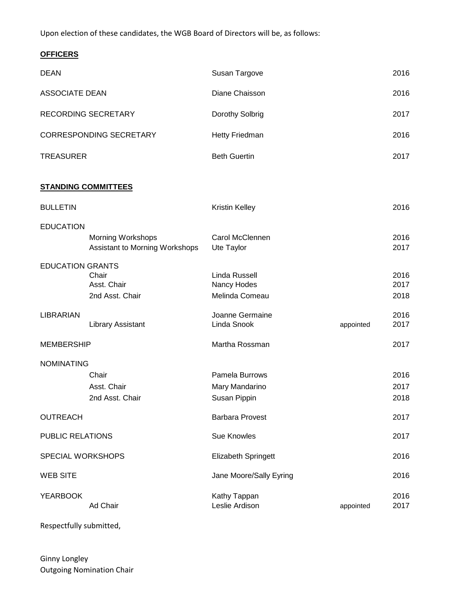Upon election of these candidates, the WGB Board of Directors will be, as follows:

#### **OFFICERS**

| <b>DEAN</b>                |                                                            | Susan Targove                                    |           | 2016                 |
|----------------------------|------------------------------------------------------------|--------------------------------------------------|-----------|----------------------|
| <b>ASSOCIATE DEAN</b>      |                                                            | Diane Chaisson                                   |           | 2016                 |
|                            | RECORDING SECRETARY                                        | Dorothy Solbrig                                  |           | 2017                 |
|                            | <b>CORRESPONDING SECRETARY</b>                             | Hetty Friedman                                   |           | 2016                 |
| <b>TREASURER</b>           |                                                            | <b>Beth Guertin</b>                              |           | 2017                 |
| <b>STANDING COMMITTEES</b> |                                                            |                                                  |           |                      |
| <b>BULLETIN</b>            |                                                            | <b>Kristin Kelley</b>                            |           | 2016                 |
| <b>EDUCATION</b>           | <b>Morning Workshops</b><br>Assistant to Morning Workshops | Carol McClennen<br>Ute Taylor                    |           | 2016<br>2017         |
| <b>EDUCATION GRANTS</b>    | Chair<br>Asst. Chair<br>2nd Asst. Chair                    | Linda Russell<br>Nancy Hodes<br>Melinda Comeau   |           | 2016<br>2017<br>2018 |
| <b>LIBRARIAN</b>           | <b>Library Assistant</b>                                   | Joanne Germaine<br>Linda Snook                   | appointed | 2016<br>2017         |
| <b>MEMBERSHIP</b>          |                                                            | Martha Rossman                                   |           | 2017                 |
| <b>NOMINATING</b>          | Chair<br>Asst. Chair<br>2nd Asst. Chair                    | Pamela Burrows<br>Mary Mandarino<br>Susan Pippin |           | 2016<br>2017<br>2018 |
| <b>OUTREACH</b>            |                                                            | <b>Barbara Provest</b>                           |           | 2017                 |
| PUBLIC RELATIONS           |                                                            | <b>Sue Knowles</b>                               |           | 2017                 |
| SPECIAL WORKSHOPS          |                                                            | Elizabeth Springett                              |           | 2016                 |
| <b>WEB SITE</b>            |                                                            | Jane Moore/Sally Eyring                          |           | 2016                 |
| <b>YEARBOOK</b>            | Ad Chair                                                   | Kathy Tappan<br>Leslie Ardison                   | appointed | 2016<br>2017         |

Respectfully submitted,

Ginny Longley Outgoing Nomination Chair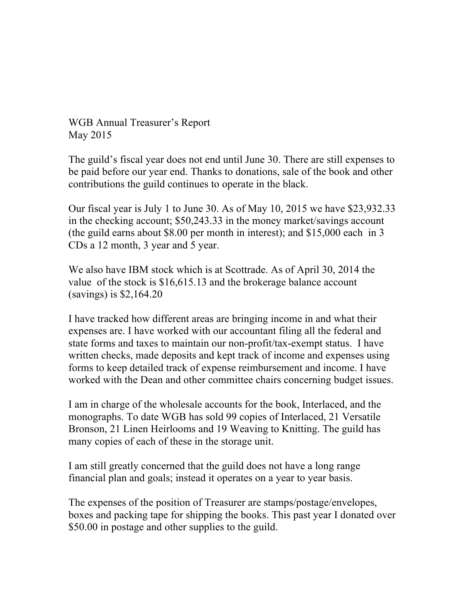WGB Annual Treasurer's Report May 2015

The guild's fiscal year does not end until June 30. There are still expenses to be paid before our year end. Thanks to donations, sale of the book and other contributions the guild continues to operate in the black.

Our fiscal year is July 1 to June 30. As of May 10, 2015 we have \$23,932.33 in the checking account; \$50,243.33 in the money market/savings account (the guild earns about \$8.00 per month in interest); and \$15,000 each in 3 CDs a 12 month, 3 year and 5 year.

We also have IBM stock which is at Scottrade. As of April 30, 2014 the value of the stock is \$16,615.13 and the brokerage balance account (savings) is \$2,164.20

I have tracked how different areas are bringing income in and what their expenses are. I have worked with our accountant filing all the federal and state forms and taxes to maintain our non-profit/tax-exempt status. I have written checks, made deposits and kept track of income and expenses using forms to keep detailed track of expense reimbursement and income. I have worked with the Dean and other committee chairs concerning budget issues.

I am in charge of the wholesale accounts for the book, Interlaced, and the monographs. To date WGB has sold 99 copies of Interlaced, 21 Versatile Bronson, 21 Linen Heirlooms and 19 Weaving to Knitting. The guild has many copies of each of these in the storage unit.

I am still greatly concerned that the guild does not have a long range financial plan and goals; instead it operates on a year to year basis.

The expenses of the position of Treasurer are stamps/postage/envelopes, boxes and packing tape for shipping the books. This past year I donated over \$50.00 in postage and other supplies to the guild.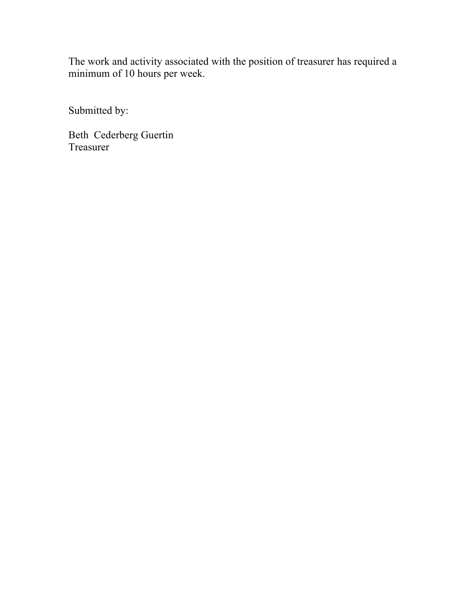The work and activity associated with the position of treasurer has required a minimum of 10 hours per week.

Submitted by:

Beth Cederberg Guertin Treasurer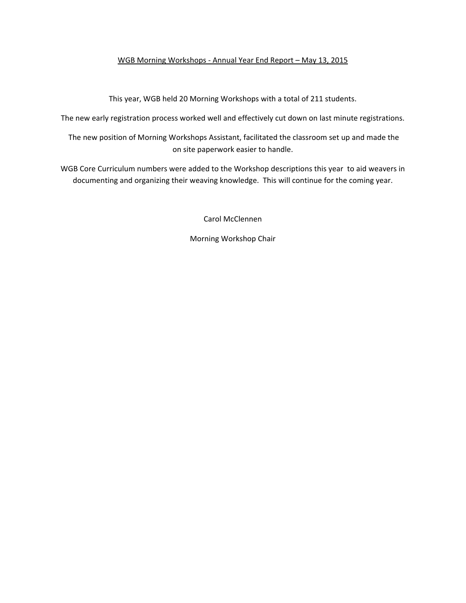#### WGB Morning Workshops - Annual Year End Report - May 13, 2015

This year, WGB held 20 Morning Workshops with a total of 211 students.

The new early registration process worked well and effectively cut down on last minute registrations.

The new position of Morning Workshops Assistant, facilitated the classroom set up and made the on site paperwork easier to handle.

WGB Core Curriculum numbers were added to the Workshop descriptions this year to aid weavers in documenting and organizing their weaving knowledge. This will continue for the coming year.

Carol McClennen

Morning Workshop Chair